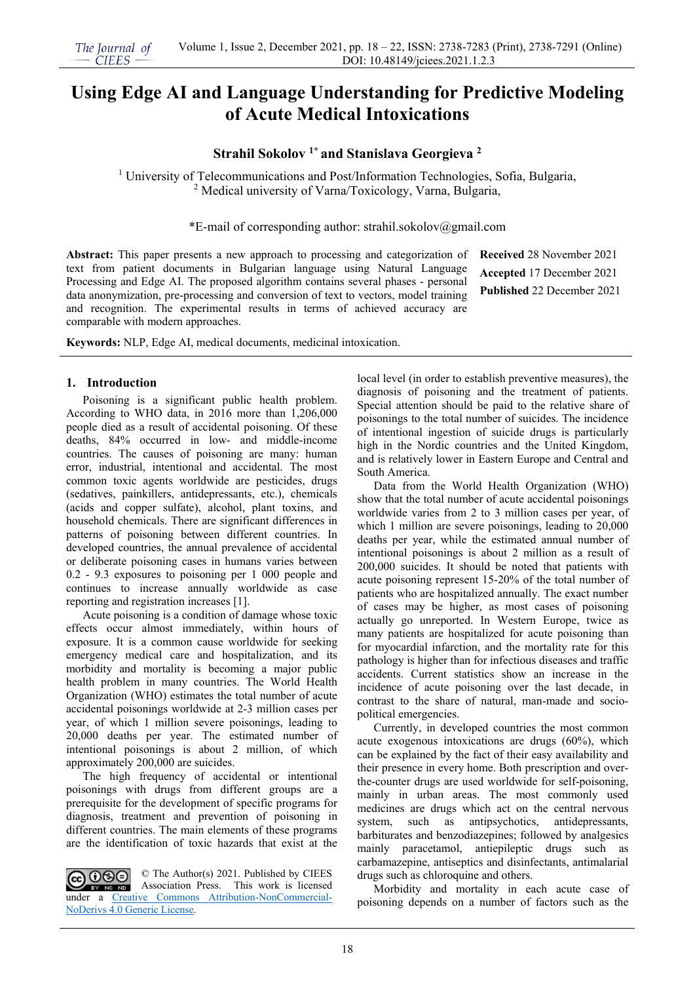# **Using Edge AI and Language Understanding for Predictive Modeling of Acute Medical Intoxications**

## **Strahil Sokolov 1\* and Stanislava Georgieva <sup>2</sup>**

<sup>1</sup> University of Telecommunications and Post/Information Technologies, Sofia, Bulgaria, <sup>2</sup> Medical university of Varna/Toxicology, Varna, Bulgaria,

\*E-mail of corresponding author: strahil.sokolov@gmail.com

**Abstract:** This paper presents a new approach to processing and categorization of text from patient documents in Bulgarian language using Natural Language Processing and Edge AI. The proposed algorithm contains several phases - personal data anonymization, pre-processing and conversion of text to vectors, model training and recognition. The experimental results in terms of achieved accuracy are comparable with modern approaches.

**Received** 28 November 2021 **Accepted** 17 December 2021 **Published** 22 December 2021

**Keywords:** NLP, Edge AI, medical documents, medicinal intoxication.

#### **1. Introduction**

Poisoning is a significant public health problem. According to WHO data, in 2016 more than 1,206,000 people died as a result of accidental poisoning. Of these deaths, 84% occurred in low- and middle-income countries. The causes of poisoning are many: human error, industrial, intentional and accidental. The most common toxic agents worldwide are pesticides, drugs (sedatives, painkillers, antidepressants, etc.), chemicals (acids and copper sulfate), alcohol, plant toxins, and household chemicals. There are significant differences in patterns of poisoning between different countries. In developed countries, the annual prevalence of accidental or deliberate poisoning cases in humans varies between 0.2 - 9.3 exposures to poisoning per 1 000 people and continues to increase annually worldwide as case reporting and registration increases [1].

Acute poisoning is a condition of damage whose toxic effects occur almost immediately, within hours of exposure. It is a common cause worldwide for seeking emergency medical care and hospitalization, and its morbidity and mortality is becoming a major public health problem in many countries. The World Health Organization (WHO) estimates the total number of acute accidental poisonings worldwide at 2-3 million cases per year, of which 1 million severe poisonings, leading to 20,000 deaths per year. The estimated number of intentional poisonings is about 2 million, of which approximately 200,000 are suicides.

The high frequency of accidental or intentional poisonings with drugs from different groups are a prerequisite for the development of specific programs for diagnosis, treatment and prevention of poisoning in different countries. The main elements of these programs are the identification of toxic hazards that exist at the

CC OSO © The Author(s) 2021. Published by CIEES Association Press. This work is licensed BY NO ND under a [Creative Commons Attribution-NonCommercial-](https://creativecommons.org/licenses/by-nc-nd/4.0/)[NoDerivs 4.0 Generic License.](https://creativecommons.org/licenses/by-nc-nd/4.0/)

local level (in order to establish preventive measures), the diagnosis of poisoning and the treatment of patients. Special attention should be paid to the relative share of poisonings to the total number of suicides. The incidence of intentional ingestion of suicide drugs is particularly high in the Nordic countries and the United Kingdom, and is relatively lower in Eastern Europe and Central and South America.

Data from the World Health Organization (WHO) show that the total number of acute accidental poisonings worldwide varies from 2 to 3 million cases per year, of which 1 million are severe poisonings, leading to  $20,000$ deaths per year, while the estimated annual number of intentional poisonings is about 2 million as a result of 200,000 suicides. It should be noted that patients with acute poisoning represent 15-20% of the total number of patients who are hospitalized annually. The exact number of cases may be higher, as most cases of poisoning actually go unreported. In Western Europe, twice as many patients are hospitalized for acute poisoning than for myocardial infarction, and the mortality rate for this pathology is higher than for infectious diseases and traffic accidents. Current statistics show an increase in the incidence of acute poisoning over the last decade, in contrast to the share of natural, man-made and sociopolitical emergencies.

Currently, in developed countries the most common acute exogenous intoxications are drugs (60%), which can be explained by the fact of their easy availability and their presence in every home. Both prescription and overthe-counter drugs are used worldwide for self-poisoning, mainly in urban areas. The most commonly used medicines are drugs which act on the central nervous system, such as antipsychotics, antidepressants, barbiturates and benzodiazepines; followed by analgesics mainly paracetamol, antiepileptic drugs such as carbamazepine, antiseptics and disinfectants, antimalarial drugs such as chloroquine and others.

Morbidity and mortality in each acute case of poisoning depends on a number of factors such as the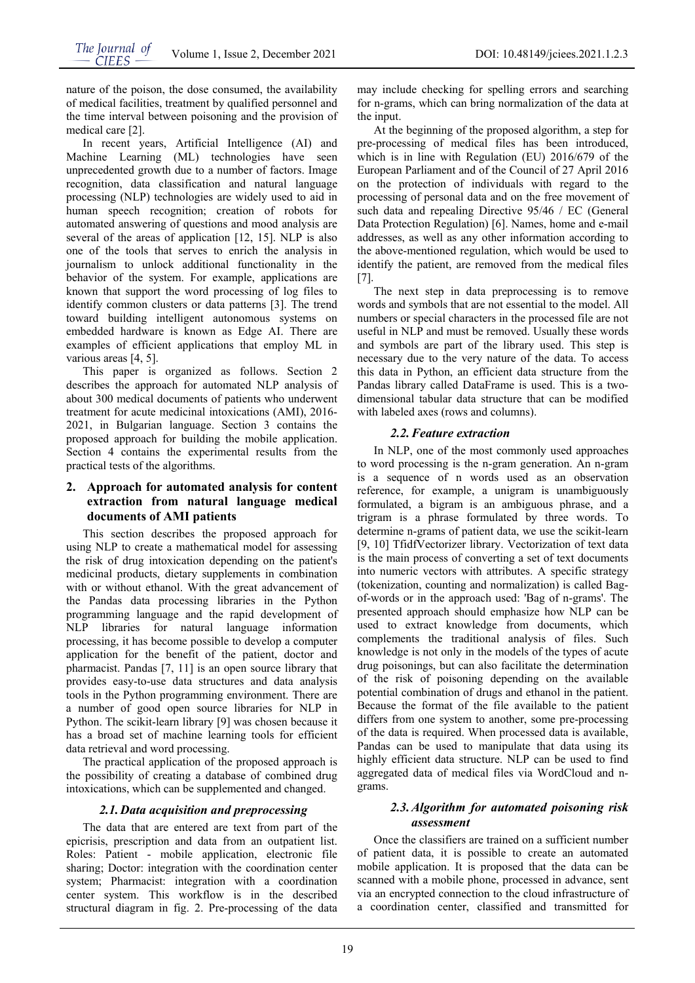nature of the poison, the dose consumed, the availability of medical facilities, treatment by qualified personnel and the time interval between poisoning and the provision of medical care [2].

In recent years, Artificial Intelligence (AI) and Machine Learning (ML) technologies have seen unprecedented growth due to a number of factors. Image recognition, data classification and natural language processing (NLP) technologies are widely used to aid in human speech recognition; creation of robots for automated answering of questions and mood analysis are several of the areas of application [12, 15]. NLP is also one of the tools that serves to enrich the analysis in journalism to unlock additional functionality in the behavior of the system. For example, applications are known that support the word processing of log files to identify common clusters or data patterns [3]. The trend toward building intelligent autonomous systems on embedded hardware is known as Edge AI. There are examples of efficient applications that employ ML in various areas [4, 5].

This paper is organized as follows. Section 2 describes the approach for automated NLP analysis of about 300 medical documents of patients who underwent treatment for acute medicinal intoxications (AMI), 2016- 2021, in Bulgarian language. Section 3 contains the proposed approach for building the mobile application. Section 4 contains the experimental results from the practical tests of the algorithms.

## **2. Approach for automated analysis for content extraction from natural language medical documents of AMI patients**

This section describes the proposed approach for using NLP to create a mathematical model for assessing the risk of drug intoxication depending on the patient's medicinal products, dietary supplements in combination with or without ethanol. With the great advancement of the Pandas data processing libraries in the Python programming language and the rapid development of NLP libraries for natural language information processing, it has become possible to develop a computer application for the benefit of the patient, doctor and pharmacist. Pandas [7, 11] is an open source library that provides easy-to-use data structures and data analysis tools in the Python programming environment. There are a number of good open source libraries for NLP in Python. The scikit-learn library [9] was chosen because it has a broad set of machine learning tools for efficient data retrieval and word processing.

The practical application of the proposed approach is the possibility of creating a database of combined drug intoxications, which can be supplemented and changed.

## *2.1.Data acquisition and preprocessing*

The data that are entered are text from part of the epicrisis, prescription and data from an outpatient list. Roles: Patient - mobile application, electronic file sharing; Doctor: integration with the coordination center system; Pharmacist: integration with a coordination center system. This workflow is in the described structural diagram in fig. 2. Pre-processing of the data

may include checking for spelling errors and searching for n-grams, which can bring normalization of the data at the input.

At the beginning of the proposed algorithm, a step for pre-processing of medical files has been introduced, which is in line with Regulation (EU) 2016/679 of the European Parliament and of the Council of 27 April 2016 on the protection of individuals with regard to the processing of personal data and on the free movement of such data and repealing Directive 95/46 / EC (General Data Protection Regulation) [6]. Names, home and e-mail addresses, as well as any other information according to the above-mentioned regulation, which would be used to identify the patient, are removed from the medical files [7].

The next step in data preprocessing is to remove words and symbols that are not essential to the model. All numbers or special characters in the processed file are not useful in NLP and must be removed. Usually these words and symbols are part of the library used. This step is necessary due to the very nature of the data. To access this data in Python, an efficient data structure from the Pandas library called DataFrame is used. This is a twodimensional tabular data structure that can be modified with labeled axes (rows and columns).

## *2.2.Feature extraction*

In NLP, one of the most commonly used approaches to word processing is the n-gram generation. An n-gram is a sequence of n words used as an observation reference, for example, a unigram is unambiguously formulated, a bigram is an ambiguous phrase, and a trigram is a phrase formulated by three words. To determine n-grams of patient data, we use the scikit-learn [9, 10] TfidfVectorizer library. Vectorization of text data is the main process of converting a set of text documents into numeric vectors with attributes. A specific strategy (tokenization, counting and normalization) is called Bagof-words or in the approach used: 'Bag of n-grams'. The presented approach should emphasize how NLP can be used to extract knowledge from documents, which complements the traditional analysis of files. Such knowledge is not only in the models of the types of acute drug poisonings, but can also facilitate the determination of the risk of poisoning depending on the available potential combination of drugs and ethanol in the patient. Because the format of the file available to the patient differs from one system to another, some pre-processing of the data is required. When processed data is available, Pandas can be used to manipulate that data using its highly efficient data structure. NLP can be used to find aggregated data of medical files via WordCloud and ngrams.

## *2.3.Algorithm for automated poisoning risk assessment*

Once the classifiers are trained on a sufficient number of patient data, it is possible to create an automated mobile application. It is proposed that the data can be scanned with a mobile phone, processed in advance, sent via an encrypted connection to the cloud infrastructure of a coordination center, classified and transmitted for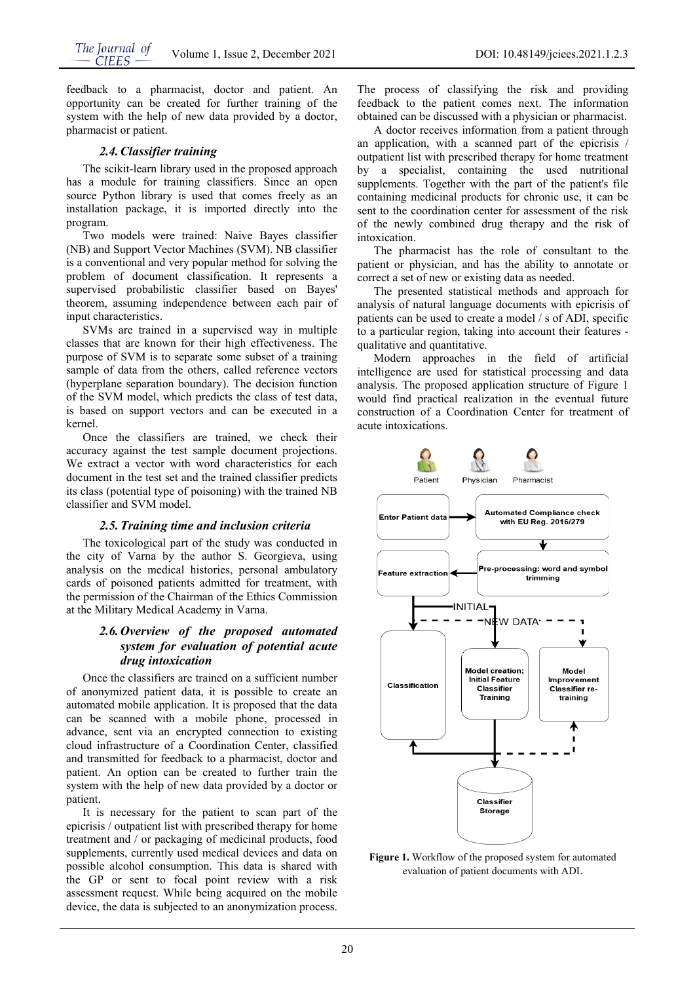feedback to a pharmacist, doctor and patient. An opportunity can be created for further training of the system with the help of new data provided by a doctor, pharmacist or patient.

#### *2.4.Classifier training*

The scikit-learn library used in the proposed approach has a module for training classifiers. Since an open source Python library is used that comes freely as an installation package, it is imported directly into the program.

Two models were trained: Naive Bayes classifier (NB) and Support Vector Machines (SVM). NB classifier is a conventional and very popular method for solving the problem of document classification. It represents a supervised probabilistic classifier based on Bayes' theorem, assuming independence between each pair of input characteristics.

SVMs are trained in a supervised way in multiple classes that are known for their high effectiveness. The purpose of SVM is to separate some subset of a training sample of data from the others, called reference vectors (hyperplane separation boundary). The decision function of the SVM model, which predicts the class of test data, is based on support vectors and can be executed in a kernel.

Once the classifiers are trained, we check their accuracy against the test sample document projections. We extract a vector with word characteristics for each document in the test set and the trained classifier predicts its class (potential type of poisoning) with the trained NB classifier and SVM model.

#### *2.5.Training time and inclusion criteria*

The toxicological part of the study was conducted in the city of Varna by the author S. Georgieva, using analysis on the medical histories, personal ambulatory cards of poisoned patients admitted for treatment, with the permission of the Chairman of the Ethics Commission at the Military Medical Academy in Varna.

## *2.6.Overview of the proposed automated system for evaluation of potential acute drug intoxication*

Once the classifiers are trained on a sufficient number of anonymized patient data, it is possible to create an automated mobile application. It is proposed that the data can be scanned with a mobile phone, processed in advance, sent via an encrypted connection to existing cloud infrastructure of a Coordination Center, classified and transmitted for feedback to a pharmacist, doctor and patient. An option can be created to further train the system with the help of new data provided by a doctor or patient.

It is necessary for the patient to scan part of the epicrisis / outpatient list with prescribed therapy for home treatment and / or packaging of medicinal products, food supplements, currently used medical devices and data on possible alcohol consumption. This data is shared with the GP or sent to focal point review with a risk assessment request. While being acquired on the mobile device, the data is subjected to an anonymization process.

The process of classifying the risk and providing feedback to the patient comes next. The information obtained can be discussed with a physician or pharmacist.

A doctor receives information from a patient through an application, with a scanned part of the epicrisis / outpatient list with prescribed therapy for home treatment by a specialist, containing the used nutritional supplements. Together with the part of the patient's file containing medicinal products for chronic use, it can be sent to the coordination center for assessment of the risk of the newly combined drug therapy and the risk of intoxication.

The pharmacist has the role of consultant to the patient or physician, and has the ability to annotate or correct a set of new or existing data as needed.

The presented statistical methods and approach for analysis of natural language documents with epicrisis of patients can be used to create a model / s of ADI, specific to a particular region, taking into account their features qualitative and quantitative.

Modern approaches in the field of artificial intelligence are used for statistical processing and data analysis. The proposed application structure of Figure 1 would find practical realization in the eventual future construction of a Coordination Center for treatment of acute intoxications.



**Figure 1.** Workflow of the proposed system for automated evaluation of patient documents with ADI.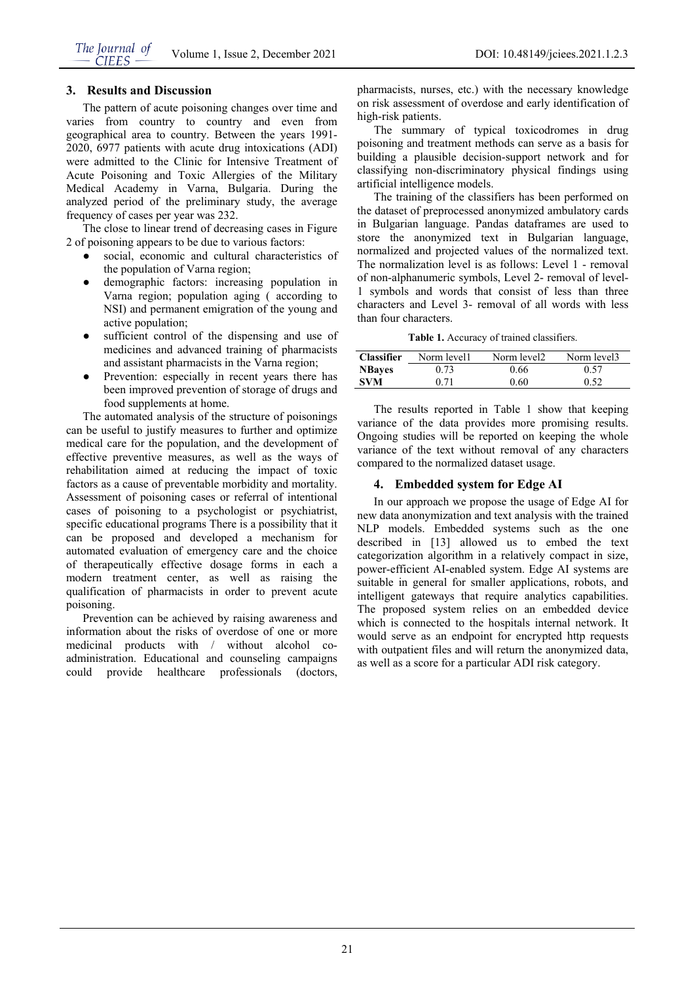## **3. Results and Discussion**

The pattern of acute poisoning changes over time and varies from country to country and even from geographical area to country. Between the years 1991- 2020, 6977 patients with acute drug intoxications (ADI) were admitted to the Clinic for Intensive Treatment of Acute Poisoning and Toxic Allergies of the Military Medical Academy in Varna, Bulgaria. During the analyzed period of the preliminary study, the average frequency of cases per year was 232.

The close to linear trend of decreasing cases in Figure 2 of poisoning appears to be due to various factors:

- social, economic and cultural characteristics of the population of Varna region;
- demographic factors: increasing population in Varna region; population aging ( according to NSI) and permanent emigration of the young and active population;
- sufficient control of the dispensing and use of medicines and advanced training of pharmacists and assistant pharmacists in the Varna region;
- Prevention: especially in recent years there has been improved prevention of storage of drugs and food supplements at home.

The automated analysis of the structure of poisonings can be useful to justify measures to further and optimize medical care for the population, and the development of effective preventive measures, as well as the ways of rehabilitation aimed at reducing the impact of toxic factors as a cause of preventable morbidity and mortality. Assessment of poisoning cases or referral of intentional cases of poisoning to a psychologist or psychiatrist, specific educational programs There is a possibility that it can be proposed and developed a mechanism for automated evaluation of emergency care and the choice of therapeutically effective dosage forms in each a modern treatment center, as well as raising the qualification of pharmacists in order to prevent acute poisoning.

Prevention can be achieved by raising awareness and information about the risks of overdose of one or more medicinal products with / without alcohol coadministration. Educational and counseling campaigns could provide healthcare professionals (doctors,

pharmacists, nurses, etc.) with the necessary knowledge on risk assessment of overdose and early identification of high-risk patients.

The summary of typical toxicodromes in drug poisoning and treatment methods can serve as a basis for building a plausible decision-support network and for classifying non-discriminatory physical findings using artificial intelligence models.

The training of the classifiers has been performed on the dataset of preprocessed anonymized ambulatory cards in Bulgarian language. Pandas dataframes are used to store the anonymized text in Bulgarian language, normalized and projected values of the normalized text. The normalization level is as follows: Level 1 - removal of non-alphanumeric symbols, Level 2- removal of level-1 symbols and words that consist of less than three characters and Level 3- removal of all words with less than four characters.

**Table 1.** Accuracy of trained classifiers.

| <b>Classifier</b> | Norm level1 | Norm level2 | Norm level3 |
|-------------------|-------------|-------------|-------------|
| <b>NBayes</b>     | 0.73        | 0.66        | 0.57        |
| <b>SVM</b>        | 0.71        | 0.60        | 0.52        |

The results reported in Table 1 show that keeping variance of the data provides more promising results. Ongoing studies will be reported on keeping the whole variance of the text without removal of any characters compared to the normalized dataset usage.

#### **4. Embedded system for Edge AI**

In our approach we propose the usage of Edge AI for new data anonymization and text analysis with the trained NLP models. Embedded systems such as the one described in [13] allowed us to embed the text categorization algorithm in a relatively compact in size, power-efficient AI-enabled system. Edge AI systems are suitable in general for smaller applications, robots, and intelligent gateways that require analytics capabilities. The proposed system relies on an embedded device which is connected to the hospitals internal network. It would serve as an endpoint for encrypted http requests with outpatient files and will return the anonymized data, as well as a score for a particular ADI risk category.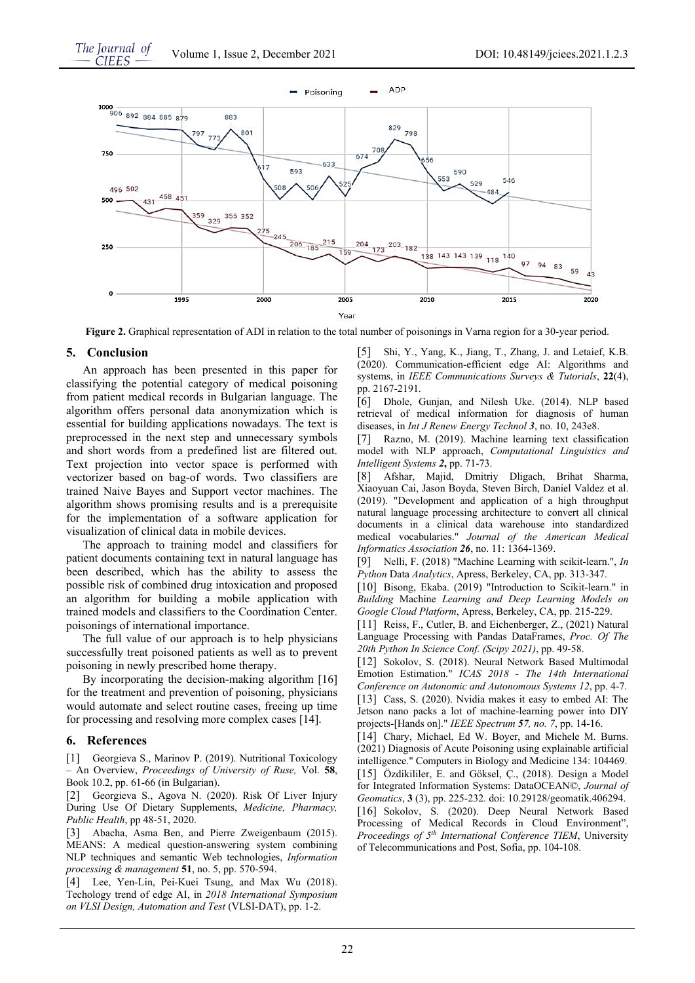

**Figure 2.** Graphical representation of ADI in relation to the total number of poisonings in Varna region for a 30-year period.

#### **5. Conclusion**

An approach has been presented in this paper for classifying the potential category of medical poisoning from patient medical records in Bulgarian language. The algorithm offers personal data anonymization which is essential for building applications nowadays. The text is preprocessed in the next step and unnecessary symbols and short words from a predefined list are filtered out. Text projection into vector space is performed with vectorizer based on bag-of words. Two classifiers are trained Naive Bayes and Support vector machines. The algorithm shows promising results and is a prerequisite for the implementation of a software application for visualization of clinical data in mobile devices.

The approach to training model and classifiers for patient documents containing text in natural language has been described, which has the ability to assess the possible risk of combined drug intoxication and proposed an algorithm for building a mobile application with trained models and classifiers to the Coordination Center. poisonings of international importance.

The full value of our approach is to help physicians successfully treat poisoned patients as well as to prevent poisoning in newly prescribed home therapy.

By incorporating the decision-making algorithm [16] for the treatment and prevention of poisoning, physicians would automate and select routine cases, freeing up time for processing and resolving more complex cases [14].

## **6. References**

[1] Georgieva S., Marinov P. (2019). Nutritional Toxicology – An Overview, *Proceedings of University of Ruse,* Vol. **58**, Book 10.2, pp. 61-66 (in Bulgarian).

[2] Georgieva S., Agova N. (2020). Risk Of Liver Injury During Use Of Dietary Supplements, *Medicine, Pharmacy, Public Health*, pp 48-51, 2020.

[3] Abacha, Asma Ben, and Pierre Zweigenbaum (2015). MEANS: A medical question-answering system combining NLP techniques and semantic Web technologies, *Information processing & management* **51**, no. 5, pp. 570-594.

[4] Lee, Yen-Lin, Pei-Kuei Tsung, and Max Wu (2018). Techology trend of edge AI, in *2018 International Symposium on VLSI Design, Automation and Test* (VLSI-DAT), pp. 1-2.

[5] Shi, Y., Yang, K., Jiang, T., Zhang, J. and Letaief, K.B. (2020). Communication-efficient edge AI: Algorithms and systems, in *IEEE Communications Surveys & Tutorials*, **22**(4), pp. 2167-2191.

[6] Dhole, Gunjan, and Nilesh Uke. (2014). NLP based retrieval of medical information for diagnosis of human diseases, in *Int J Renew Energy Technol 3*, no. 10, 243e8.

[7] Razno, M. (2019). Machine learning text classification model with NLP approach, *Computational Linguistics and Intelligent Systems 2***,** pp. 71-73.

[8] Afshar, Majid, Dmitriy Dligach, Brihat Sharma, Xiaoyuan Cai, Jason Boyda, Steven Birch, Daniel Valdez et al. (2019). "Development and application of a high throughput natural language processing architecture to convert all clinical documents in a clinical data warehouse into standardized medical vocabularies." *Journal of the American Medical Informatics Association 26*, no. 11: 1364-1369.

[9] Nelli, F. (2018) "Machine Learning with scikit-learn.", *In Python* Data *Analytics*, Apress, Berkeley, CA, pp. 313-347.

[10] Bisong, Ekaba. (2019) "Introduction to Scikit-learn." in *Building* Machine *Learning and Deep Learning Models on Google Cloud Platform*, Apress, Berkeley, CA, pp. 215-229.

[11] Reiss, F., Cutler, B. and Eichenberger, Z., (2021) Natural Language Processing with Pandas DataFrames, *Proc. Of The 20th Python In Science Conf. (Scipy 2021)*, pp. 49-58.

[12] Sokolov, S. (2018). Neural Network Based Multimodal Emotion Estimation." *ICAS 2018 - The 14th International Conference on Autonomic and Autonomous Systems 12*, pp. 4-7. [13] Cass, S. (2020). Nvidia makes it easy to embed AI: The Jetson nano packs a lot of machine-learning power into DIY projects-[Hands on]." *IEEE Spectrum 57, no. 7*, pp. 14-16.

[14] Chary, Michael, Ed W. Boyer, and Michele M. Burns. (2021) Diagnosis of Acute Poisoning using explainable artificial intelligence." Computers in Biology and Medicine 134: 104469. [15] Özdikililer, E. and Göksel, Ç., (2018). Design a Model for Integrated Information Systems: DataOCEAN©, *Journal of Geomatics*, **3** (3), pp. 225-232. doi: 10.29128/geomatik.406294.

[16] Sokolov, S. (2020). Deep Neural Network Based Processing of Medical Records in Cloud Environment", *Proceedings of 5th International Conference TIEM*, University of Telecommunications and Post, Sofia, pp. 104-108.